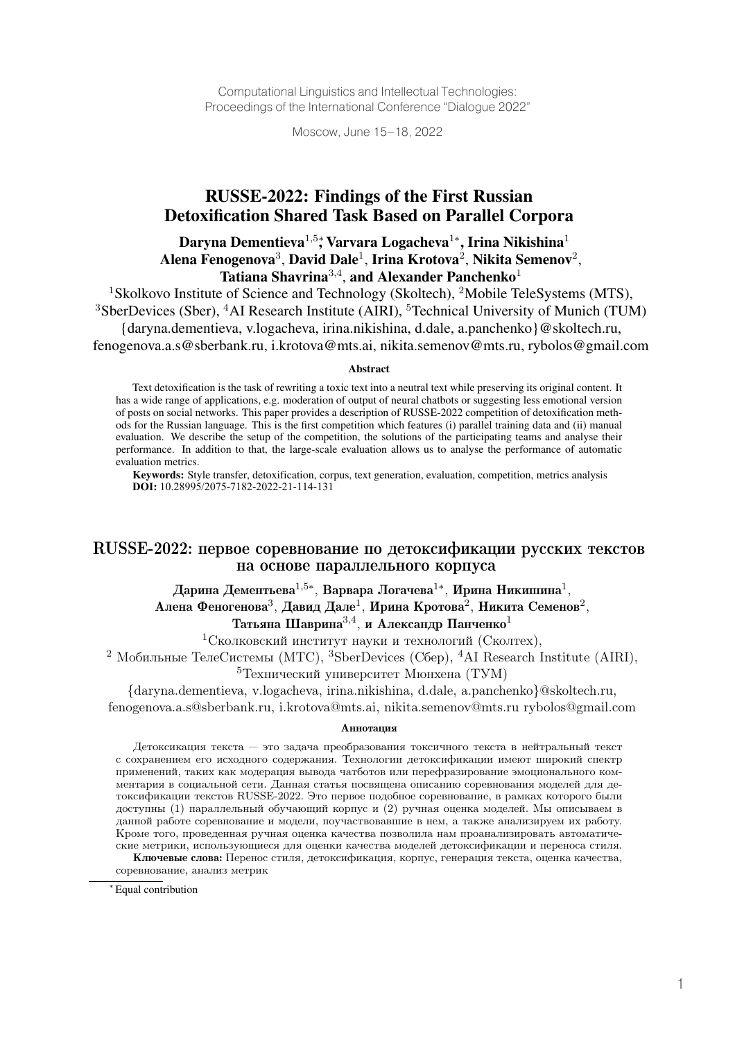Computational Linguistics and Intellectual Technologies: Proceedings of the International Conference "Dialogue 2022"

Moscow, June 15–18, 2022

# RUSSE-2022: Findings of the First Russian Detoxification Shared Task Based on Parallel Corpora

### Daryna Dementieva $^{1,5},$  Varvara Logacheva $^{1*},$  Irina Nikishina $^{1}$ Alena Fenogenova<sup>3</sup>, David Dale<sup>1</sup>, Irina Krotova<sup>2</sup>, Nikita Semenov<sup>2</sup>, Tatiana Shavrina<sup>3,4</sup>, and Alexander Panchenko<sup>1</sup>

<sup>1</sup>Skolkovo Institute of Science and Technology (Skoltech), <sup>2</sup>Mobile TeleSystems (MTS),  $3$ SberDevices (Sber),  $4$ AI Research Institute (AIRI),  $5$ Technical University of Munich (TUM) {daryna.dementieva, v.logacheva, irina.nikishina, d.dale, a.panchenko}@skoltech.ru,

fenogenova.a.s@sberbank.ru, i.krotova@mts.ai, nikita.semenov@mts.ru, rybolos@gmail.com

#### Abstract

Text detoxification is the task of rewriting a toxic text into a neutral text while preserving its original content. It has a wide range of applications, e.g. moderation of output of neural chatbots or suggesting less emotional version of posts on social networks. This paper provides a description of RUSSE-2022 competition of detoxification methods for the Russian language. This is the first competition which features (i) parallel training data and (ii) manual evaluation. We describe the setup of the competition, the solutions of the participating teams and analyse their performance. In addition to that, the large-scale evaluation allows us to analyse the performance of automatic evaluation metrics.

Keywords: Style transfer, detoxification, corpus, text generation, evaluation, competition, metrics analysis **DOI:** 10.28995/2075-7182-2022-21-114-131

### RUSSE-2022: первое соревнование по детоксификации русских текстов на основе параллельного корпуса

Дарина Дементьева<sup>1,5\*</sup>, Варвара Логачева<sup>1\*</sup>, Ирина Никишина<sup>1</sup>, Алена Феногенова<sup>3</sup>, Давид Дале<sup>1</sup>, Ирина Кротова<sup>2</sup>, Никита Семенов<sup>2</sup>, Татьяна Шаврина<sup>3,4</sup>, и Александр Панченко<sup>1</sup>

<sup>1</sup>Сколковский институт науки и технологий (Сколтех),

<sup>2</sup> Мобильные ТелеСистемы (МТС), <sup>3</sup>SberDevices (Сбер), <sup>4</sup>AI Research Institute (AIRI),

#### <sup>5</sup>Технический университет Мюнхена (ТУМ)

{daryna.dementieva, v.logacheva, irina.nikishina, d.dale, a.panchenko}@skoltech.ru, fenogenova.a.s@sberbank.ru, i.krotova@mts.ai, nikita.semenov@mts.ru rybolos@gmail.com

#### Аннотация

Детоксикация текста — это задача преобразования токсичного текста в нейтральный текст с сохранением его исходного содержания. Технологии детоксификации имеют широкий спектр применений, таких как модерация вывода чатботов или перефразирование эмоционального комментария в социальной сети. Данная статья посвящена описанию соревнования моделей для детоксификации текстов RUSSE-2022. Это первое подобное соревнование, в рамках которого были доступны (1) параллельный обучающий корпус и (2) ручная оценка моделей. Мы описываем в данной работе соревнование и модели, поучаствовавшие в нем, а также анализируем их работу. Кроме того, проведенная ручная оценка качества позволила нам проанализировать автоматические метрики, использующиеся для оценки качества моделей детоксификации и переноса стиля.

Ключевые слова: Перенос стиля, детоксификация, корпус, генерация текста, оценка качества, соревнование, анализ метрик

<sup>\*</sup> Equal contribution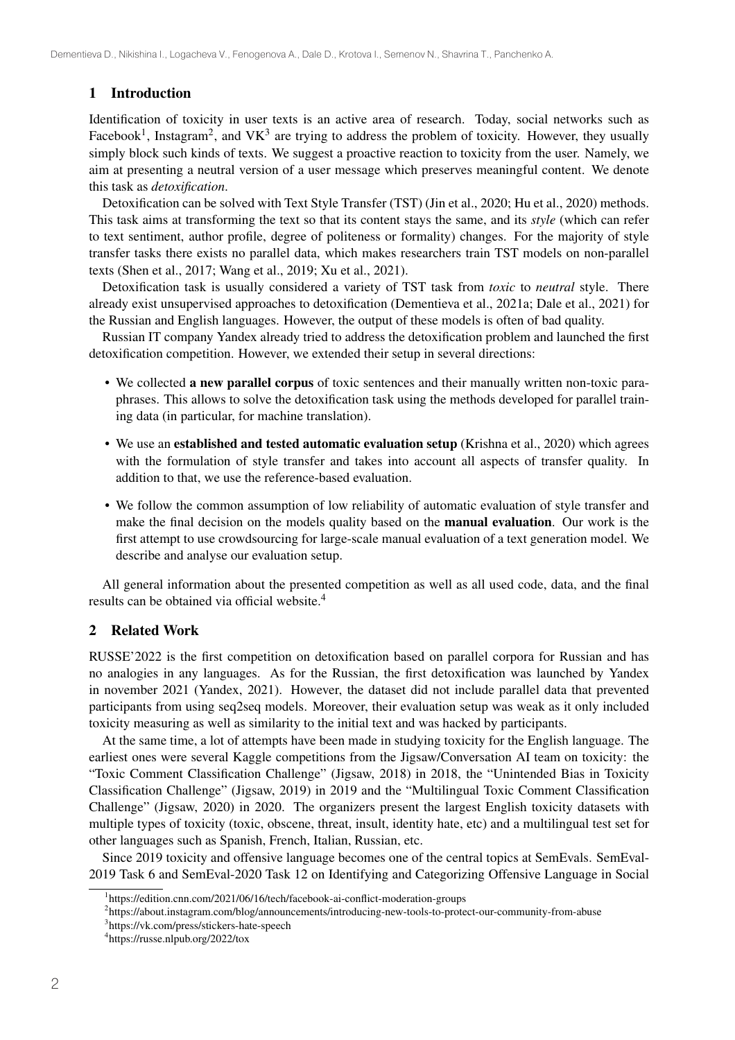### 1 Introduction

Identification of toxicity in user texts is an active area of research. Today, social networks such as Facebook<sup>1</sup>, Instagram<sup>2</sup>, and VK<sup>3</sup> are trying to address the problem of toxicity. However, they usually simply block such kinds of texts. We suggest a proactive reaction to toxicity from the user. Namely, we aim at presenting a neutral version of a user message which preserves meaningful content. We denote this task as *detoxification*.

Detoxification can be solved with Text Style Transfer (TST) (Jin et al., 2020; Hu et al., 2020) methods. This task aims at transforming the text so that its content stays the same, and its *style* (which can refer to text sentiment, author profile, degree of politeness or formality) changes. For the majority of style transfer tasks there exists no parallel data, which makes researchers train TST models on non-parallel texts (Shen et al., 2017; Wang et al., 2019; Xu et al., 2021).

Detoxification task is usually considered a variety of TST task from *toxic* to *neutral* style. There already exist unsupervised approaches to detoxification (Dementieva et al., 2021a; Dale et al., 2021) for the Russian and English languages. However, the output of these models is often of bad quality.

Russian IT company Yandex already tried to address the detoxification problem and launched the first detoxification competition. However, we extended their setup in several directions:

- We collected a new parallel corpus of toxic sentences and their manually written non-toxic paraphrases. This allows to solve the detoxification task using the methods developed for parallel training data (in particular, for machine translation).
- We use an established and tested automatic evaluation setup (Krishna et al., 2020) which agrees with the formulation of style transfer and takes into account all aspects of transfer quality. In addition to that, we use the reference-based evaluation.
- We follow the common assumption of low reliability of automatic evaluation of style transfer and make the final decision on the models quality based on the manual evaluation. Our work is the first attempt to use crowdsourcing for large-scale manual evaluation of a text generation model. We describe and analyse our evaluation setup.

All general information about the presented competition as well as all used code, data, and the final results can be obtained via official website.<sup>4</sup>

#### 2 Related Work

RUSSE'2022 is the first competition on detoxification based on parallel corpora for Russian and has no analogies in any languages. As for the Russian, the first detoxification was launched by Yandex in november 2021 (Yandex, 2021). However, the dataset did not include parallel data that prevented participants from using seq2seq models. Moreover, their evaluation setup was weak as it only included toxicity measuring as well as similarity to the initial text and was hacked by participants.

At the same time, a lot of attempts have been made in studying toxicity for the English language. The earliest ones were several Kaggle competitions from the Jigsaw/Conversation AI team on toxicity: the "Toxic Comment Classification Challenge" (Jigsaw, 2018) in 2018, the "Unintended Bias in Toxicity Classification Challenge" (Jigsaw, 2019) in 2019 and the "Multilingual Toxic Comment Classification Challenge" (Jigsaw, 2020) in 2020. The organizers present the largest English toxicity datasets with multiple types of toxicity (toxic, obscene, threat, insult, identity hate, etc) and a multilingual test set for other languages such as Spanish, French, Italian, Russian, etc.

Since 2019 toxicity and offensive language becomes one of the central topics at SemEvals. SemEval-2019 Task 6 and SemEval-2020 Task 12 on Identifying and Categorizing Offensive Language in Social

<sup>&</sup>lt;sup>1</sup>https://edition.cnn.com/2021/06/16/tech/facebook-ai-conflict-moderation-groups

<sup>2</sup> https://about.instagram.com/blog/announcements/introducing-new-tools-to-protect-our-community-from-abuse

<sup>3</sup> https://vk.com/press/stickers-hate-speech

<sup>4</sup> https://russe.nlpub.org/2022/tox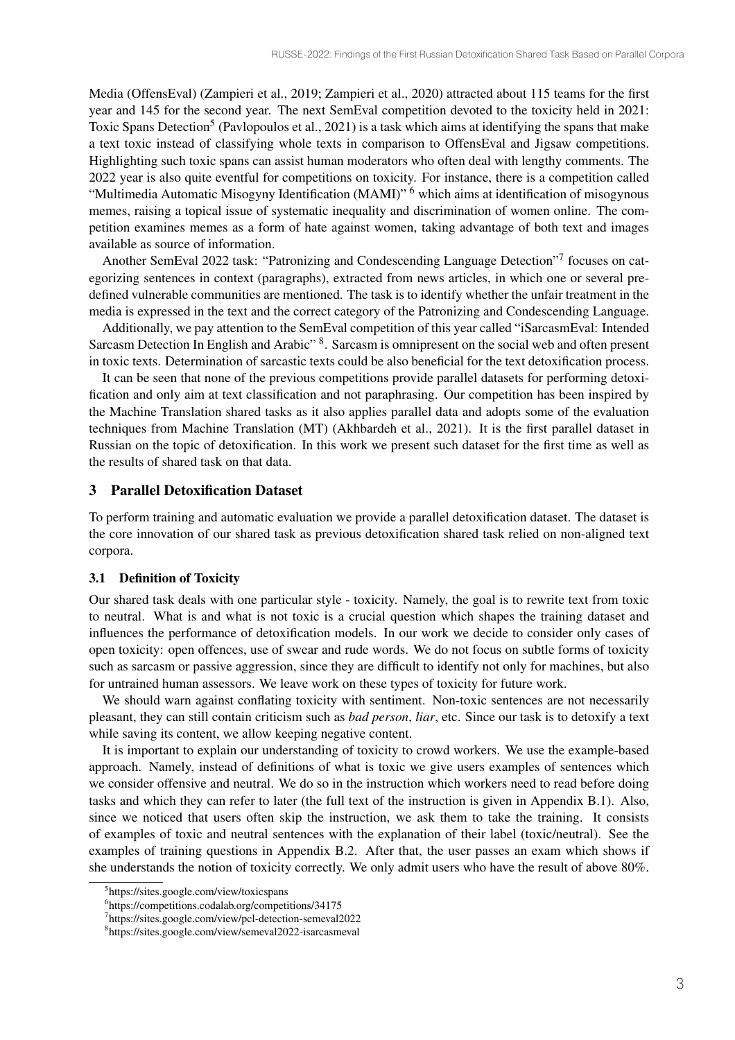Media (OffensEval) (Zampieri et al., 2019; Zampieri et al., 2020) attracted about 115 teams for the first year and 145 for the second year. The next SemEval competition devoted to the toxicity held in 2021: Toxic Spans Detection<sup>5</sup> (Pavlopoulos et al., 2021) is a task which aims at identifying the spans that make a text toxic instead of classifying whole texts in comparison to OffensEval and Jigsaw competitions. Highlighting such toxic spans can assist human moderators who often deal with lengthy comments. The 2022 year is also quite eventful for competitions on toxicity. For instance, there is a competition called "Multimedia Automatic Misogyny Identification (MAMI)" <sup>6</sup> which aims at identification of misogynous memes, raising a topical issue of systematic inequality and discrimination of women online. The competition examines memes as a form of hate against women, taking advantage of both text and images available as source of information.

Another SemEval 2022 task: "Patronizing and Condescending Language Detection"7 focuses on categorizing sentences in context (paragraphs), extracted from news articles, in which one or several predefined vulnerable communities are mentioned. The task is to identify whether the unfair treatment in the media is expressed in the text and the correct category of the Patronizing and Condescending Language.

Additionally, we pay attention to the SemEval competition of this year called "iSarcasmEval: Intended Sarcasm Detection In English and Arabic" 8. Sarcasm is omnipresent on the social web and often present in toxic texts. Determination of sarcastic texts could be also beneficial for the text detoxification process.

It can be seen that none of the previous competitions provide parallel datasets for performing detoxification and only aim at text classification and not paraphrasing. Our competition has been inspired by the Machine Translation shared tasks as it also applies parallel data and adopts some of the evaluation techniques from Machine Translation (MT) (Akhbardeh et al., 2021). It is the first parallel dataset in Russian on the topic of detoxification. In this work we present such dataset for the first time as well as the results of shared task on that data.

#### 3 Parallel Detoxification Dataset

To perform training and automatic evaluation we provide a parallel detoxification dataset. The dataset is the core innovation of our shared task as previous detoxification shared task relied on non-aligned text corpora.

#### 3.1 Definition of Toxicity

Our shared task deals with one particular style - toxicity. Namely, the goal is to rewrite text from toxic to neutral. What is and what is not toxic is a crucial question which shapes the training dataset and influences the performance of detoxification models. In our work we decide to consider only cases of open toxicity: open offences, use of swear and rude words. We do not focus on subtle forms of toxicity such as sarcasm or passive aggression, since they are difficult to identify not only for machines, but also for untrained human assessors. We leave work on these types of toxicity for future work.

We should warn against conflating toxicity with sentiment. Non-toxic sentences are not necessarily pleasant, they can still contain criticism such as *bad person*, *liar*, etc. Since our task is to detoxify a text while saving its content, we allow keeping negative content.

It is important to explain our understanding of toxicity to crowd workers. We use the example-based approach. Namely, instead of definitions of what is toxic we give users examples of sentences which we consider offensive and neutral. We do so in the instruction which workers need to read before doing tasks and which they can refer to later (the full text of the instruction is given in Appendix B.1). Also, since we noticed that users often skip the instruction, we ask them to take the training. It consists of examples of toxic and neutral sentences with the explanation of their label (toxic/neutral). See the examples of training questions in Appendix B.2. After that, the user passes an exam which shows if she understands the notion of toxicity correctly. We only admit users who have the result of above 80%.

<sup>5</sup> https://sites.google.com/view/toxicspans

<sup>6</sup> https://competitions.codalab.org/competitions/34175

<sup>7</sup> https://sites.google.com/view/pcl-detection-semeval2022

<sup>8</sup> https://sites.google.com/view/semeval2022-isarcasmeval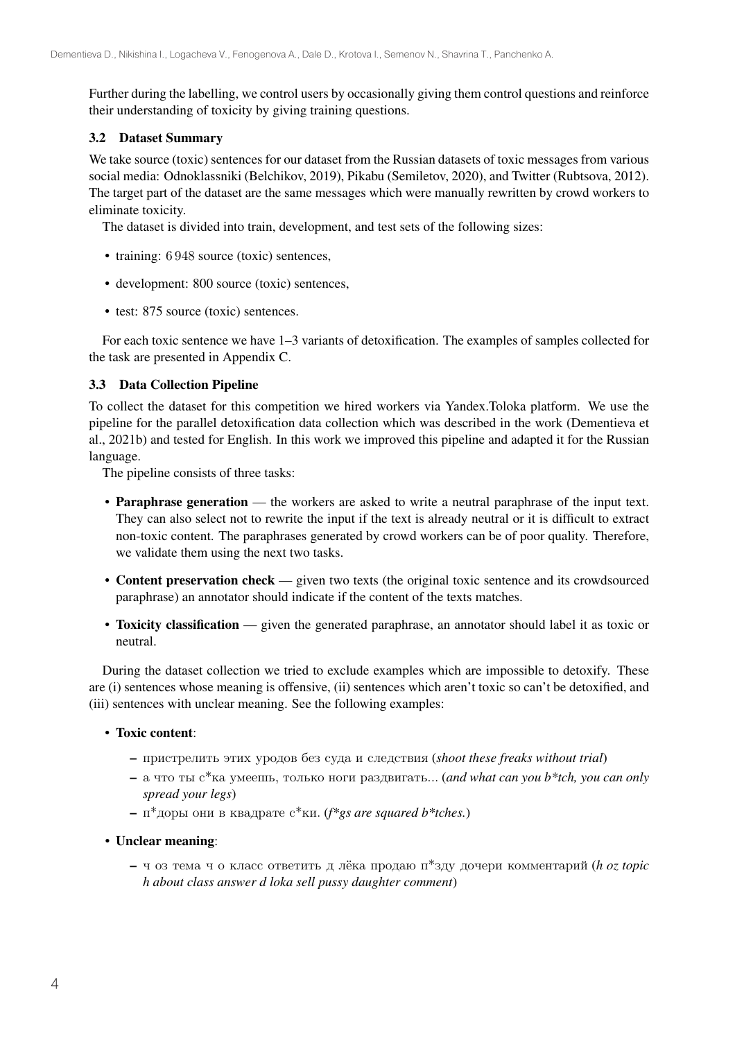Further during the labelling, we control users by occasionally giving them control questions and reinforce their understanding of toxicity by giving training questions.

### 3.2 Dataset Summary

We take source (toxic) sentences for our dataset from the Russian datasets of toxic messages from various social media: Odnoklassniki (Belchikov, 2019), Pikabu (Semiletov, 2020), and Twitter (Rubtsova, 2012). The target part of the dataset are the same messages which were manually rewritten by crowd workers to eliminate toxicity.

The dataset is divided into train, development, and test sets of the following sizes:

- training: 6948 source (toxic) sentences,
- development: 800 source (toxic) sentences,
- test: 875 source (toxic) sentences.

For each toxic sentence we have 1–3 variants of detoxification. The examples of samples collected for the task are presented in Appendix C.

### 3.3 Data Collection Pipeline

To collect the dataset for this competition we hired workers via Yandex.Toloka platform. We use the pipeline for the parallel detoxification data collection which was described in the work (Dementieva et al., 2021b) and tested for English. In this work we improved this pipeline and adapted it for the Russian language.

The pipeline consists of three tasks:

- Paraphrase generation the workers are asked to write a neutral paraphrase of the input text. They can also select not to rewrite the input if the text is already neutral or it is difficult to extract non-toxic content. The paraphrases generated by crowd workers can be of poor quality. Therefore, we validate them using the next two tasks.
- Content preservation check given two texts (the original toxic sentence and its crowdsourced paraphrase) an annotator should indicate if the content of the texts matches.
- Toxicity classification given the generated paraphrase, an annotator should label it as toxic or neutral.

During the dataset collection we tried to exclude examples which are impossible to detoxify. These are (i) sentences whose meaning is offensive, (ii) sentences which aren't toxic so can't be detoxified, and (iii) sentences with unclear meaning. See the following examples:

### • Toxic content:

- пристрелить этих уродов без суда и следствия (*shoot these freaks without trial*)
- а что ты с\*ка умеешь, только ноги раздвигать... (*and what can you b\*tch, you can only spread your legs*)
- п\*доры они в квадрате с\*ки. (*f\*gs are squared b\*tches.*)
- Unclear meaning:
	- ч оз тема ч о класс ответить д лёка продаю п\*зду дочери комментарий (*h oz topic h about class answer d loka sell pussy daughter comment*)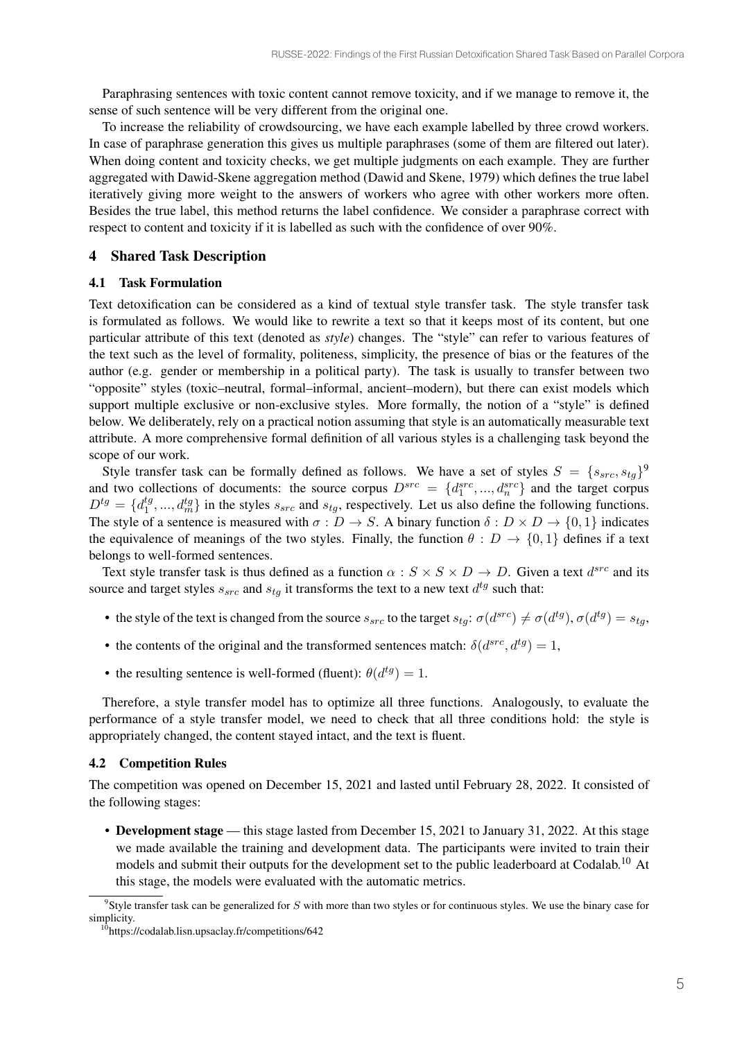Paraphrasing sentences with toxic content cannot remove toxicity, and if we manage to remove it, the sense of such sentence will be very different from the original one.

To increase the reliability of crowdsourcing, we have each example labelled by three crowd workers. In case of paraphrase generation this gives us multiple paraphrases (some of them are filtered out later). When doing content and toxicity checks, we get multiple judgments on each example. They are further aggregated with Dawid-Skene aggregation method (Dawid and Skene, 1979) which defines the true label iteratively giving more weight to the answers of workers who agree with other workers more often. Besides the true label, this method returns the label confidence. We consider a paraphrase correct with respect to content and toxicity if it is labelled as such with the confidence of over 90%.

#### 4 Shared Task Description

#### 4.1 Task Formulation

Text detoxification can be considered as a kind of textual style transfer task. The style transfer task is formulated as follows. We would like to rewrite a text so that it keeps most of its content, but one particular attribute of this text (denoted as *style*) changes. The "style" can refer to various features of the text such as the level of formality, politeness, simplicity, the presence of bias or the features of the author (e.g. gender or membership in a political party). The task is usually to transfer between two "opposite" styles (toxic–neutral, formal–informal, ancient–modern), but there can exist models which support multiple exclusive or non-exclusive styles. More formally, the notion of a "style" is defined below. We deliberately, rely on a practical notion assuming that style is an automatically measurable text attribute. A more comprehensive formal definition of all various styles is a challenging task beyond the scope of our work.

Style transfer task can be formally defined as follows. We have a set of styles  $S = \{s_{src}, s_{tg}\}^9$ and two collections of documents: the source corpus  $D^{src} = \{d_1^{src}, ..., d_n^{src}\}\$  and the target corpus  $D^{tg} = \{d_1^{tg},...,d_m^{tg}\}\$  in the styles  $s_{src}$  and  $s_{tg}$ , respectively. Let us also define the following functions. The style of a sentence is measured with  $\sigma : D \to S$ . A binary function  $\delta : D \times D \to \{0, 1\}$  indicates the equivalence of meanings of the two styles. Finally, the function  $\theta : D \to \{0, 1\}$  defines if a text belongs to well-formed sentences.

Text style transfer task is thus defined as a function  $\alpha$  :  $S \times S \times D \to D$ . Given a text  $d^{src}$  and its source and target styles  $s_{src}$  and  $s_{tg}$  it transforms the text to a new text  $d^{tg}$  such that:

- the style of the text is changed from the source  $s_{src}$  to the target  $s_{tg}$ :  $\sigma(d^{src}) \neq \sigma(d^{tg})$ ,  $\sigma(d^{tg}) = s_{tg}$ ,
- the contents of the original and the transformed sentences match:  $\delta(d^{src}, d^{tg}) = 1$ ,
- the resulting sentence is well-formed (fluent):  $\theta(d^{tg})=1$ .

Therefore, a style transfer model has to optimize all three functions. Analogously, to evaluate the performance of a style transfer model, we need to check that all three conditions hold: the style is appropriately changed, the content stayed intact, and the text is fluent.

### 4.2 Competition Rules

The competition was opened on December 15, 2021 and lasted until February 28, 2022. It consisted of the following stages:

• Development stage — this stage lasted from December 15, 2021 to January 31, 2022. At this stage we made available the training and development data. The participants were invited to train their models and submit their outputs for the development set to the public leaderboard at Codalab.<sup>10</sup> At this stage, the models were evaluated with the automatic metrics.

 $9$ Style transfer task can be generalized for  $S$  with more than two styles or for continuous styles. We use the binary case for simplicity.

<sup>10</sup>https://codalab.lisn.upsaclay.fr/competitions/642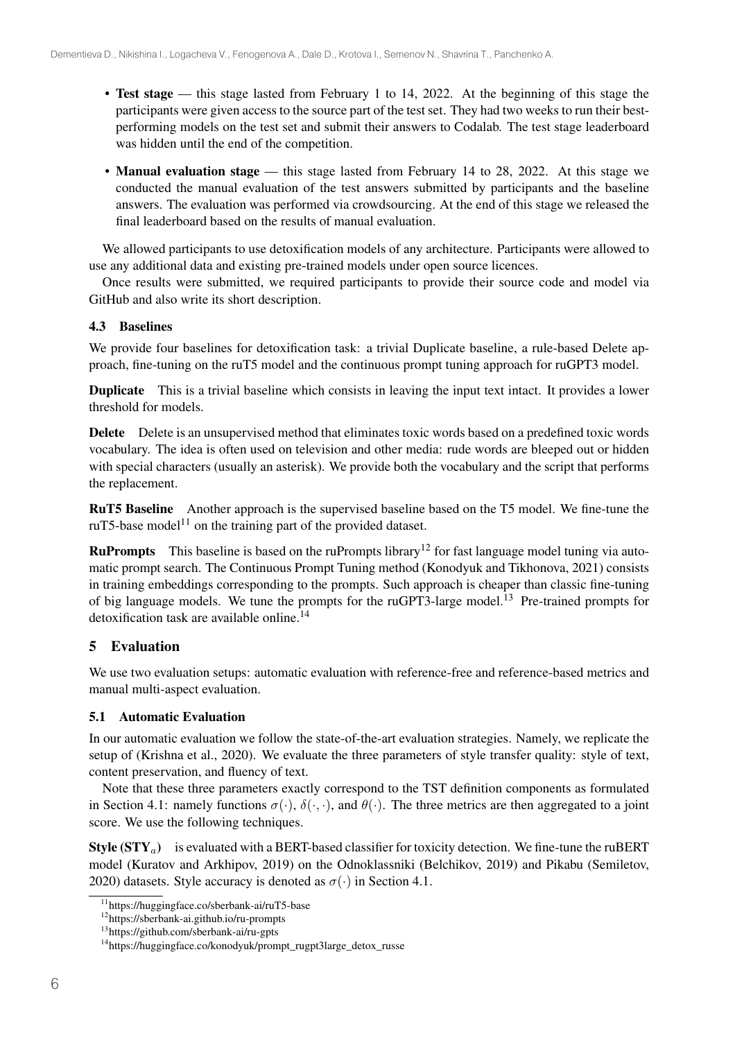- Test stage this stage lasted from February 1 to 14, 2022. At the beginning of this stage the participants were given access to the source part of the test set. They had two weeks to run their bestperforming models on the test set and submit their answers to Codalab. The test stage leaderboard was hidden until the end of the competition.
- Manual evaluation stage this stage lasted from February 14 to 28, 2022. At this stage we conducted the manual evaluation of the test answers submitted by participants and the baseline answers. The evaluation was performed via crowdsourcing. At the end of this stage we released the final leaderboard based on the results of manual evaluation.

We allowed participants to use detoxification models of any architecture. Participants were allowed to use any additional data and existing pre-trained models under open source licences.

Once results were submitted, we required participants to provide their source code and model via GitHub and also write its short description.

### 4.3 Baselines

We provide four baselines for detoxification task: a trivial Duplicate baseline, a rule-based Delete approach, fine-tuning on the ruT5 model and the continuous prompt tuning approach for ruGPT3 model.

Duplicate This is a trivial baseline which consists in leaving the input text intact. It provides a lower threshold for models.

Delete Delete is an unsupervised method that eliminates toxic words based on a predefined toxic words vocabulary. The idea is often used on television and other media: rude words are bleeped out or hidden with special characters (usually an asterisk). We provide both the vocabulary and the script that performs the replacement.

RuT5 Baseline Another approach is the supervised baseline based on the T5 model. We fine-tune the ruT5-base model<sup>11</sup> on the training part of the provided dataset.

**RuPrompts** This baseline is based on the ruPrompts library<sup>12</sup> for fast language model tuning via automatic prompt search. The Continuous Prompt Tuning method (Konodyuk and Tikhonova, 2021) consists in training embeddings corresponding to the prompts. Such approach is cheaper than classic fine-tuning of big language models. We tune the prompts for the ruGPT3-large model.<sup>13</sup> Pre-trained prompts for detoxification task are available online.14

### 5 Evaluation

We use two evaluation setups: automatic evaluation with reference-free and reference-based metrics and manual multi-aspect evaluation.

### 5.1 Automatic Evaluation

In our automatic evaluation we follow the state-of-the-art evaluation strategies. Namely, we replicate the setup of (Krishna et al., 2020). We evaluate the three parameters of style transfer quality: style of text, content preservation, and fluency of text.

Note that these three parameters exactly correspond to the TST definition components as formulated in Section 4.1: namely functions  $\sigma(\cdot)$ ,  $\delta(\cdot, \cdot)$ , and  $\theta(\cdot)$ . The three metrics are then aggregated to a joint score. We use the following techniques.

**Style (STY<sub>a</sub>)** is evaluated with a BERT-based classifier for toxicity detection. We fine-tune the ruBERT model (Kuratov and Arkhipov, 2019) on the Odnoklassniki (Belchikov, 2019) and Pikabu (Semiletov, 2020) datasets. Style accuracy is denoted as  $\sigma(\cdot)$  in Section 4.1.

<sup>11</sup>https://huggingface.co/sberbank-ai/ruT5-base

<sup>12</sup>https://sberbank-ai.github.io/ru-prompts

<sup>13</sup>https://github.com/sberbank-ai/ru-gpts

<sup>14</sup>https://huggingface.co/konodyuk/prompt\_rugpt3large\_detox\_russe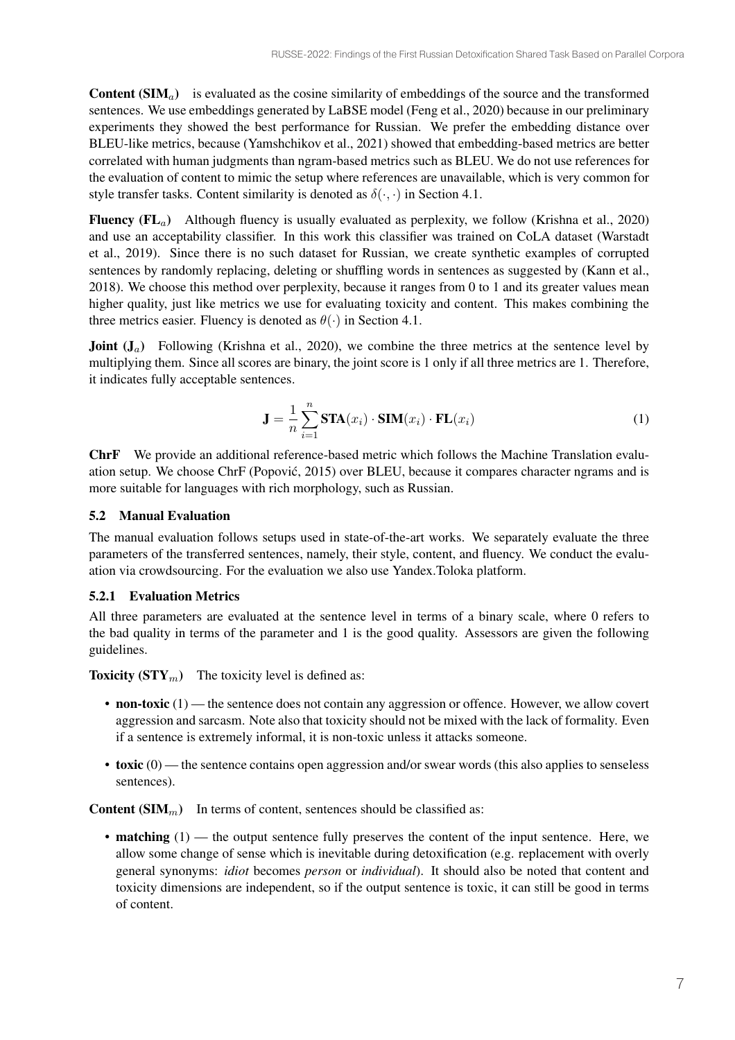**Content (SIM**<sub>a</sub>) is evaluated as the cosine similarity of embeddings of the source and the transformed sentences. We use embeddings generated by LaBSE model (Feng et al., 2020) because in our preliminary experiments they showed the best performance for Russian. We prefer the embedding distance over BLEU-like metrics, because (Yamshchikov et al., 2021) showed that embedding-based metrics are better correlated with human judgments than ngram-based metrics such as BLEU. We do not use references for the evaluation of content to mimic the setup where references are unavailable, which is very common for style transfer tasks. Content similarity is denoted as  $\delta(\cdot, \cdot)$  in Section 4.1.

**Fluency (FL<sub>a</sub>)** Although fluency is usually evaluated as perplexity, we follow (Krishna et al., 2020) and use an acceptability classifier. In this work this classifier was trained on CoLA dataset (Warstadt et al., 2019). Since there is no such dataset for Russian, we create synthetic examples of corrupted sentences by randomly replacing, deleting or shuffling words in sentences as suggested by (Kann et al., 2018). We choose this method over perplexity, because it ranges from 0 to 1 and its greater values mean higher quality, just like metrics we use for evaluating toxicity and content. This makes combining the three metrics easier. Fluency is denoted as  $\theta(\cdot)$  in Section 4.1.

**Joint**  $(J_{\alpha})$  Following (Krishna et al., 2020), we combine the three metrics at the sentence level by multiplying them. Since all scores are binary, the joint score is 1 only if all three metrics are 1. Therefore, it indicates fully acceptable sentences.

$$
\mathbf{J} = \frac{1}{n} \sum_{i=1}^{n} \mathbf{STA}(x_i) \cdot \mathbf{SIM}(x_i) \cdot \mathbf{FL}(x_i)
$$
 (1)

ChrF We provide an additional reference-based metric which follows the Machine Translation evaluation setup. We choose ChrF (Popovic, 2015) over BLEU, because it compares character ngrams and is ´ more suitable for languages with rich morphology, such as Russian.

#### 5.2 Manual Evaluation

The manual evaluation follows setups used in state-of-the-art works. We separately evaluate the three parameters of the transferred sentences, namely, their style, content, and fluency. We conduct the evaluation via crowdsourcing. For the evaluation we also use Yandex.Toloka platform.

### 5.2.1 Evaluation Metrics

All three parameters are evaluated at the sentence level in terms of a binary scale, where 0 refers to the bad quality in terms of the parameter and 1 is the good quality. Assessors are given the following guidelines.

**Toxicity (STY**<sub>m</sub>) The toxicity level is defined as:

- non-toxic  $(1)$  the sentence does not contain any aggression or offence. However, we allow covert aggression and sarcasm. Note also that toxicity should not be mixed with the lack of formality. Even if a sentence is extremely informal, it is non-toxic unless it attacks someone.
- $\bullet$  toxic (0) the sentence contains open aggression and/or swear words (this also applies to senseless sentences).

**Content (SIM** $<sub>m</sub>$ ) In terms of content, sentences should be classified as:</sub>

• **matching**  $(1)$  — the output sentence fully preserves the content of the input sentence. Here, we allow some change of sense which is inevitable during detoxification (e.g. replacement with overly general synonyms: *idiot* becomes *person* or *individual*). It should also be noted that content and toxicity dimensions are independent, so if the output sentence is toxic, it can still be good in terms of content.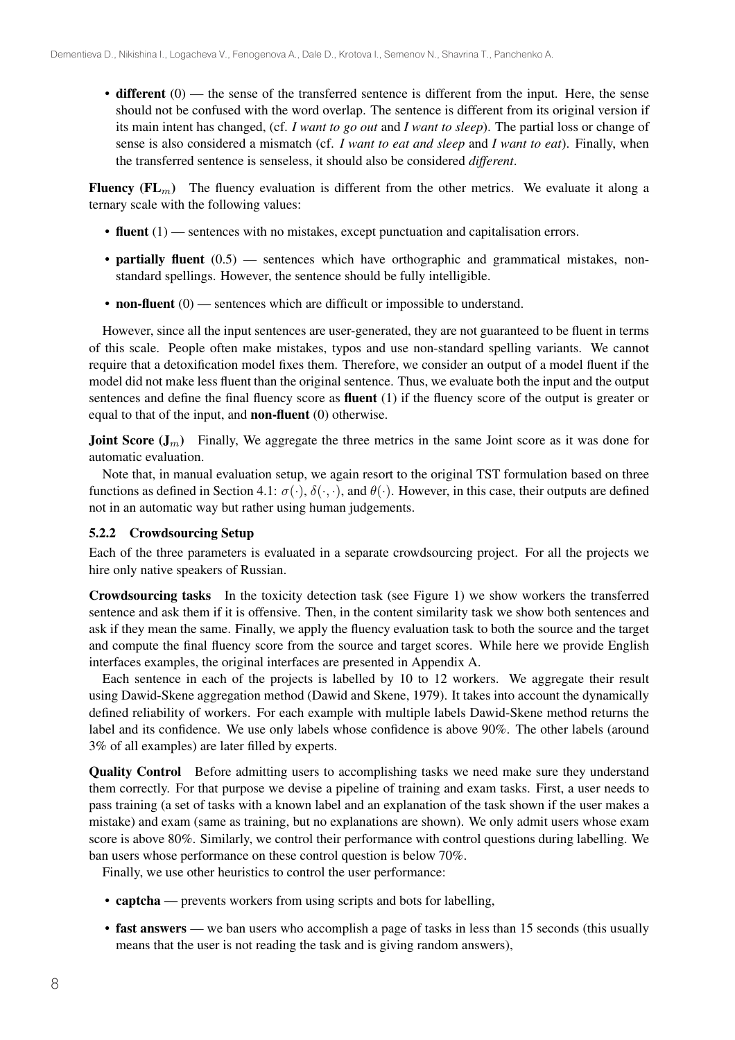• different (0) — the sense of the transferred sentence is different from the input. Here, the sense should not be confused with the word overlap. The sentence is different from its original version if its main intent has changed, (cf. *I want to go out* and *I want to sleep*). The partial loss or change of sense is also considered a mismatch (cf. *I want to eat and sleep* and *I want to eat*). Finally, when the transferred sentence is senseless, it should also be considered *different*.

**Fluency (FL**<sub>m</sub>) The fluency evaluation is different from the other metrics. We evaluate it along a ternary scale with the following values:

- **fluent** (1) sentences with no mistakes, except punctuation and capitalisation errors.
- partially fluent (0.5) sentences which have orthographic and grammatical mistakes, nonstandard spellings. However, the sentence should be fully intelligible.
- non-fluent (0) sentences which are difficult or impossible to understand.

However, since all the input sentences are user-generated, they are not guaranteed to be fluent in terms of this scale. People often make mistakes, typos and use non-standard spelling variants. We cannot require that a detoxification model fixes them. Therefore, we consider an output of a model fluent if the model did not make less fluent than the original sentence. Thus, we evaluate both the input and the output sentences and define the final fluency score as fluent (1) if the fluency score of the output is greater or equal to that of the input, and non-fluent (0) otherwise.

**Joint Score**  $(J_m)$  Finally, We aggregate the three metrics in the same Joint score as it was done for automatic evaluation.

Note that, in manual evaluation setup, we again resort to the original TST formulation based on three functions as defined in Section 4.1:  $\sigma(\cdot)$ ,  $\delta(\cdot, \cdot)$ , and  $\theta(\cdot)$ . However, in this case, their outputs are defined not in an automatic way but rather using human judgements.

#### 5.2.2 Crowdsourcing Setup

Each of the three parameters is evaluated in a separate crowdsourcing project. For all the projects we hire only native speakers of Russian.

Crowdsourcing tasks In the toxicity detection task (see Figure 1) we show workers the transferred sentence and ask them if it is offensive. Then, in the content similarity task we show both sentences and ask if they mean the same. Finally, we apply the fluency evaluation task to both the source and the target and compute the final fluency score from the source and target scores. While here we provide English interfaces examples, the original interfaces are presented in Appendix A.

Each sentence in each of the projects is labelled by 10 to 12 workers. We aggregate their result using Dawid-Skene aggregation method (Dawid and Skene, 1979). It takes into account the dynamically defined reliability of workers. For each example with multiple labels Dawid-Skene method returns the label and its confidence. We use only labels whose confidence is above 90%. The other labels (around 3% of all examples) are later filled by experts.

Quality Control Before admitting users to accomplishing tasks we need make sure they understand them correctly. For that purpose we devise a pipeline of training and exam tasks. First, a user needs to pass training (a set of tasks with a known label and an explanation of the task shown if the user makes a mistake) and exam (same as training, but no explanations are shown). We only admit users whose exam score is above 80%. Similarly, we control their performance with control questions during labelling. We ban users whose performance on these control question is below 70%.

Finally, we use other heuristics to control the user performance:

- captcha prevents workers from using scripts and bots for labelling,
- fast answers we ban users who accomplish a page of tasks in less than 15 seconds (this usually means that the user is not reading the task and is giving random answers),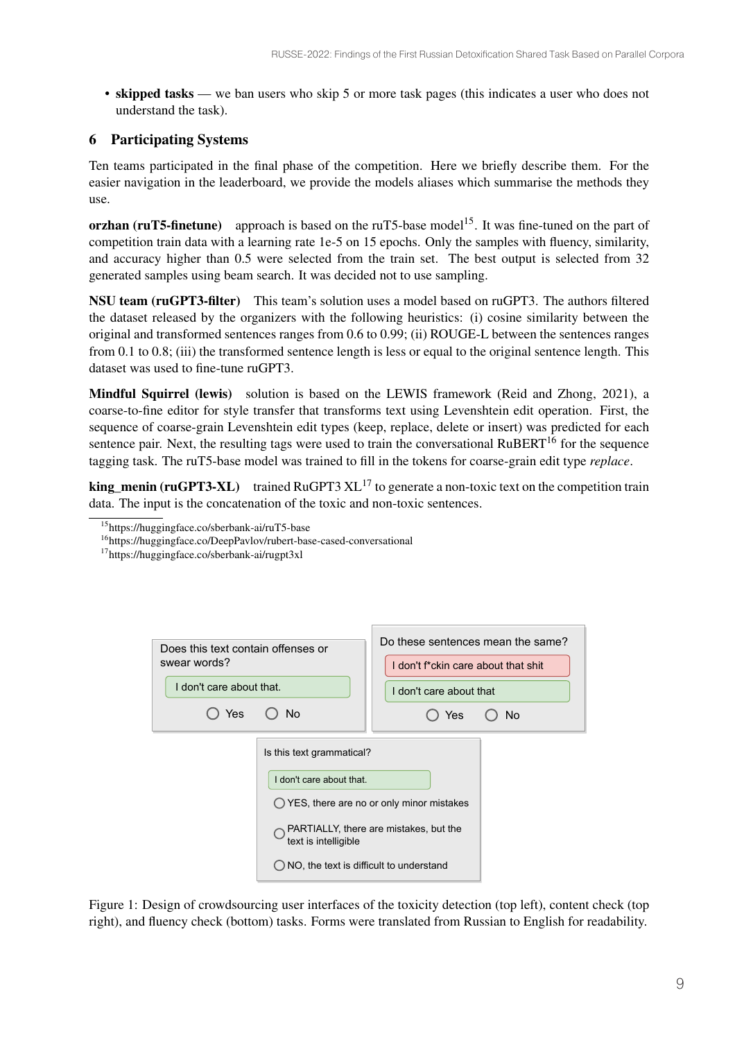• skipped tasks — we ban users who skip 5 or more task pages (this indicates a user who does not understand the task).

## 6 Participating Systems

Ten teams participated in the final phase of the competition. Here we briefly describe them. For the easier navigation in the leaderboard, we provide the models aliases which summarise the methods they use.

orzhan (ruT5-finetune) approach is based on the ruT5-base model<sup>15</sup>. It was fine-tuned on the part of competition train data with a learning rate 1e-5 on 15 epochs. Only the samples with fluency, similarity, and accuracy higher than 0.5 were selected from the train set. The best output is selected from 32 generated samples using beam search. It was decided not to use sampling.

NSU team (ruGPT3-filter) This team's solution uses a model based on ruGPT3. The authors filtered the dataset released by the organizers with the following heuristics: (i) cosine similarity between the original and transformed sentences ranges from 0.6 to 0.99; (ii) ROUGE-L between the sentences ranges from 0.1 to 0.8; (iii) the transformed sentence length is less or equal to the original sentence length. This dataset was used to fine-tune ruGPT3.

Mindful Squirrel (lewis) solution is based on the LEWIS framework (Reid and Zhong, 2021), a coarse-to-fine editor for style transfer that transforms text using Levenshtein edit operation. First, the sequence of coarse-grain Levenshtein edit types (keep, replace, delete or insert) was predicted for each sentence pair. Next, the resulting tags were used to train the conversational  $\text{RUBERT}^{16}$  for the sequence tagging task. The ruT5-base model was trained to fill in the tokens for coarse-grain edit type *replace*.

**king\_menin (ruGPT3-XL)** trained RuGPT3  $XL^{17}$  to generate a non-toxic text on the competition train data. The input is the concatenation of the toxic and non-toxic sentences.

| Does this text contain offenses or                                                                                       | Do these sentences mean the same?                                                    |
|--------------------------------------------------------------------------------------------------------------------------|--------------------------------------------------------------------------------------|
| swear words?                                                                                                             | I don't f*ckin care about that shit                                                  |
| I don't care about that.                                                                                                 | I don't care about that                                                              |
| Yes                                                                                                                      | Yes                                                                                  |
| <b>No</b>                                                                                                                | <b>No</b>                                                                            |
| Is this text grammatical?<br>I don't care about that.<br>text is intelligible<br>NO, the text is difficult to understand | ◯ YES, there are no or only minor mistakes<br>PARTIALLY, there are mistakes, but the |

Figure 1: Design of crowdsourcing user interfaces of the toxicity detection (top left), content check (top right), and fluency check (bottom) tasks. Forms were translated from Russian to English for readability.

<sup>15</sup>https://huggingface.co/sberbank-ai/ruT5-base

<sup>&</sup>lt;sup>16</sup>https://huggingface.co/DeepPavlov/rubert-base-cased-conversational

<sup>17</sup>https://huggingface.co/sberbank-ai/rugpt3xl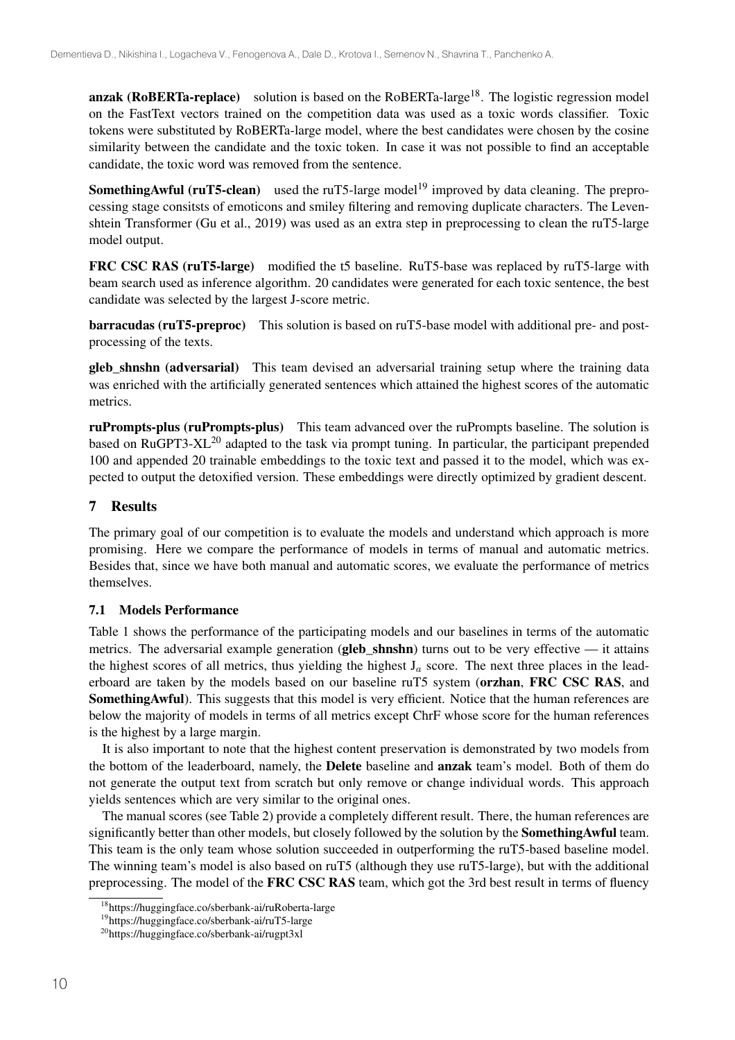**anzak (RoBERTa-replace)** solution is based on the RoBERTa-large<sup>18</sup>. The logistic regression model on the FastText vectors trained on the competition data was used as a toxic words classifier. Toxic tokens were substituted by RoBERTa-large model, where the best candidates were chosen by the cosine similarity between the candidate and the toxic token. In case it was not possible to find an acceptable candidate, the toxic word was removed from the sentence.

**SomethingAwful (ruT5-clean)** used the ruT5-large model<sup>19</sup> improved by data cleaning. The preprocessing stage consitsts of emoticons and smiley filtering and removing duplicate characters. The Levenshtein Transformer (Gu et al., 2019) was used as an extra step in preprocessing to clean the ruT5-large model output.

FRC CSC RAS (ruT5-large) modified the t5 baseline. RuT5-base was replaced by ruT5-large with beam search used as inference algorithm. 20 candidates were generated for each toxic sentence, the best candidate was selected by the largest J-score metric.

barracudas (ruT5-preproc) This solution is based on ruT5-base model with additional pre- and postprocessing of the texts.

gleb\_shnshn (adversarial) This team devised an adversarial training setup where the training data was enriched with the artificially generated sentences which attained the highest scores of the automatic metrics.

ruPrompts-plus (ruPrompts-plus) This team advanced over the ruPrompts baseline. The solution is based on RuGPT3-XL<sup>20</sup> adapted to the task via prompt tuning. In particular, the participant prepended 100 and appended 20 trainable embeddings to the toxic text and passed it to the model, which was expected to output the detoxified version. These embeddings were directly optimized by gradient descent.

## 7 Results

The primary goal of our competition is to evaluate the models and understand which approach is more promising. Here we compare the performance of models in terms of manual and automatic metrics. Besides that, since we have both manual and automatic scores, we evaluate the performance of metrics themselves.

### 7.1 Models Performance

Table 1 shows the performance of the participating models and our baselines in terms of the automatic metrics. The adversarial example generation (**gleb shnshn**) turns out to be very effective — it attains the highest scores of all metrics, thus yielding the highest  $J_a$  score. The next three places in the leaderboard are taken by the models based on our baseline ruT5 system (orzhan, FRC CSC RAS, and SomethingAwful). This suggests that this model is very efficient. Notice that the human references are below the majority of models in terms of all metrics except ChrF whose score for the human references is the highest by a large margin.

It is also important to note that the highest content preservation is demonstrated by two models from the bottom of the leaderboard, namely, the Delete baseline and anzak team's model. Both of them do not generate the output text from scratch but only remove or change individual words. This approach yields sentences which are very similar to the original ones.

The manual scores (see Table 2) provide a completely different result. There, the human references are significantly better than other models, but closely followed by the solution by the SomethingAwful team. This team is the only team whose solution succeeded in outperforming the ruT5-based baseline model. The winning team's model is also based on ruT5 (although they use ruT5-large), but with the additional preprocessing. The model of the FRC CSC RAS team, which got the 3rd best result in terms of fluency

<sup>18</sup>https://huggingface.co/sberbank-ai/ruRoberta-large

<sup>19</sup>https://huggingface.co/sberbank-ai/ruT5-large

<sup>20</sup>https://huggingface.co/sberbank-ai/rugpt3xl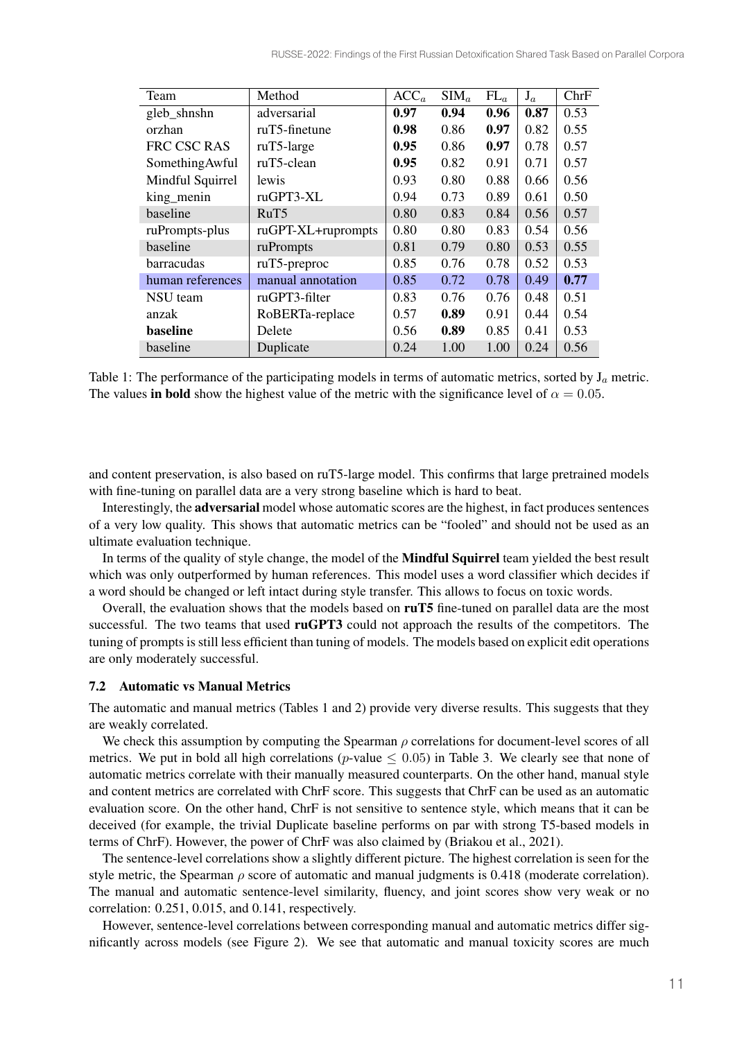| Team             | Method             | ACC <sub>a</sub> | $SIM_a$ | $FL_a$ | $J_a$ | ChrF |
|------------------|--------------------|------------------|---------|--------|-------|------|
| gleb_shnshn      | adversarial        | 0.97             | 0.94    | 0.96   | 0.87  | 0.53 |
| orzhan           | ruT5-finetune      | 0.98             | 0.86    | 0.97   | 0.82  | 0.55 |
| FRC CSC RAS      | ruT5-large         | 0.95             | 0.86    | 0.97   | 0.78  | 0.57 |
| SomethingAwful   | ruT5-clean         | 0.95             | 0.82    | 0.91   | 0.71  | 0.57 |
| Mindful Squirrel | lewis              | 0.93             | 0.80    | 0.88   | 0.66  | 0.56 |
| king_menin       | ruGPT3-XL          | 0.94             | 0.73    | 0.89   | 0.61  | 0.50 |
| baseline         | RuT <sub>5</sub>   | 0.80             | 0.83    | 0.84   | 0.56  | 0.57 |
| ruPrompts-plus   | ruGPT-XL+ruprompts | 0.80             | 0.80    | 0.83   | 0.54  | 0.56 |
| baseline         | ruPrompts          | 0.81             | 0.79    | 0.80   | 0.53  | 0.55 |
| barracudas       | ruT5-preproc       | 0.85             | 0.76    | 0.78   | 0.52  | 0.53 |
| human references | manual annotation  | 0.85             | 0.72    | 0.78   | 0.49  | 0.77 |
| NSU team         | ruGPT3-filter      | 0.83             | 0.76    | 0.76   | 0.48  | 0.51 |
| anzak            | RoBERTa-replace    | 0.57             | 0.89    | 0.91   | 0.44  | 0.54 |
| baseline         | Delete             | 0.56             | 0.89    | 0.85   | 0.41  | 0.53 |
| baseline         | Duplicate          | 0.24             | 1.00    | 1.00   | 0.24  | 0.56 |

Table 1: The performance of the participating models in terms of automatic metrics, sorted by  $J_a$  metric. The values in bold show the highest value of the metric with the significance level of  $\alpha = 0.05$ .

and content preservation, is also based on ruT5-large model. This confirms that large pretrained models with fine-tuning on parallel data are a very strong baseline which is hard to beat.

Interestingly, the adversarial model whose automatic scores are the highest, in fact produces sentences of a very low quality. This shows that automatic metrics can be "fooled" and should not be used as an ultimate evaluation technique.

In terms of the quality of style change, the model of the Mindful Squirrel team yielded the best result which was only outperformed by human references. This model uses a word classifier which decides if a word should be changed or left intact during style transfer. This allows to focus on toxic words.

Overall, the evaluation shows that the models based on ruT5 fine-tuned on parallel data are the most successful. The two teams that used **ruGPT3** could not approach the results of the competitors. The tuning of prompts is still less efficient than tuning of models. The models based on explicit edit operations are only moderately successful.

#### 7.2 Automatic vs Manual Metrics

The automatic and manual metrics (Tables 1 and 2) provide very diverse results. This suggests that they are weakly correlated.

We check this assumption by computing the Spearman  $\rho$  correlations for document-level scores of all metrics. We put in bold all high correlations ( $p$ -value  $\leq 0.05$ ) in Table 3. We clearly see that none of automatic metrics correlate with their manually measured counterparts. On the other hand, manual style and content metrics are correlated with ChrF score. This suggests that ChrF can be used as an automatic evaluation score. On the other hand, ChrF is not sensitive to sentence style, which means that it can be deceived (for example, the trivial Duplicate baseline performs on par with strong T5-based models in terms of ChrF). However, the power of ChrF was also claimed by (Briakou et al., 2021).

The sentence-level correlations show a slightly different picture. The highest correlation is seen for the style metric, the Spearman  $\rho$  score of automatic and manual judgments is 0.418 (moderate correlation). The manual and automatic sentence-level similarity, fluency, and joint scores show very weak or no correlation: 0.251, 0.015, and 0.141, respectively.

However, sentence-level correlations between corresponding manual and automatic metrics differ significantly across models (see Figure 2). We see that automatic and manual toxicity scores are much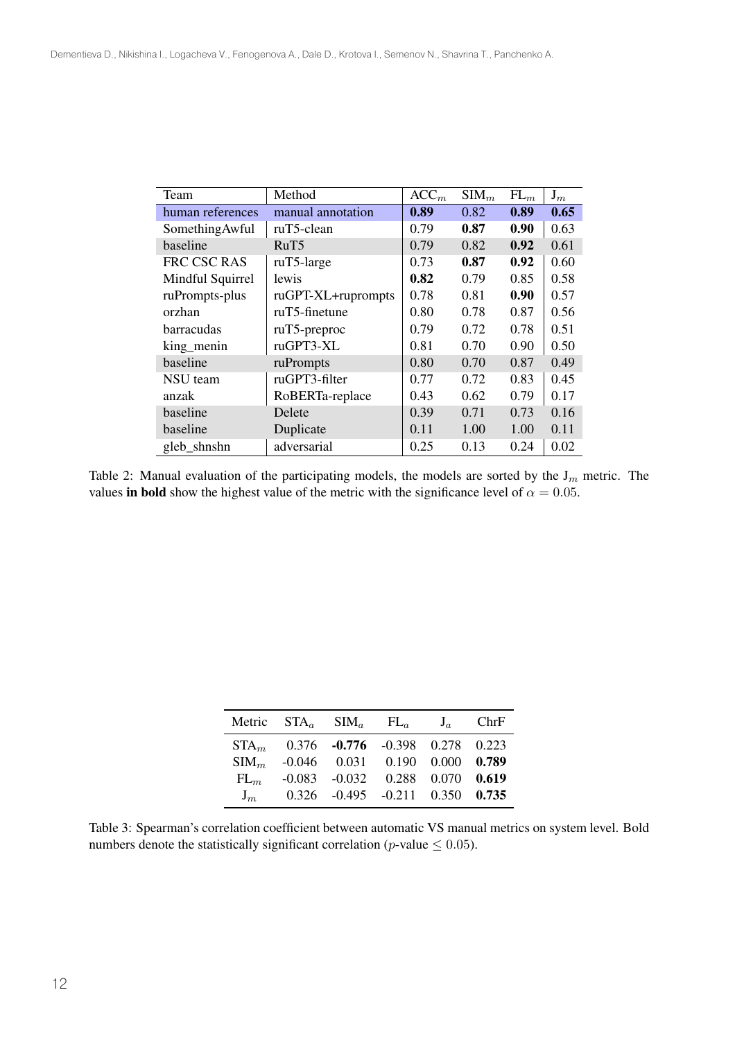| Team             | Method             | ACC <sub>m</sub> | SIM <sub>m</sub> | $FL_m$ | $J_m$ |
|------------------|--------------------|------------------|------------------|--------|-------|
| human references | manual annotation  | 0.89             | 0.82             | 0.89   | 0.65  |
| SomethingAwful   | ruT5-clean         | 0.79             | 0.87             | 0.90   | 0.63  |
| baseline         | RuT <sub>5</sub>   | 0.79             | 0.82             | 0.92   | 0.61  |
| FRC CSC RAS      | ruT5-large         | 0.73             | 0.87             | 0.92   | 0.60  |
| Mindful Squirrel | lewis              | 0.82             | 0.79             | 0.85   | 0.58  |
| ruPrompts-plus   | ruGPT-XL+ruprompts | 0.78             | 0.81             | 0.90   | 0.57  |
| orzhan           | ruT5-finetune      | 0.80             | 0.78             | 0.87   | 0.56  |
| barracudas       | ruT5-preproc       | 0.79             | 0.72             | 0.78   | 0.51  |
| king_menin       | ruGPT3-XL          | 0.81             | 0.70             | 0.90   | 0.50  |
| baseline         | ruPrompts          | 0.80             | 0.70             | 0.87   | 0.49  |
| NSU team         | ruGPT3-filter      | 0.77             | 0.72             | 0.83   | 0.45  |
| anzak            | RoBERTa-replace    | 0.43             | 0.62             | 0.79   | 0.17  |
| baseline         | Delete             | 0.39             | 0.71             | 0.73   | 0.16  |
| baseline         | Duplicate          | 0.11             | 1.00             | 1.00   | 0.11  |
| gleb_shnshn      | adversarial        | 0.25             | 0.13             | 0.24   | 0.02  |

Table 2: Manual evaluation of the participating models, the models are sorted by the  $J_m$  metric. The values in bold show the highest value of the metric with the significance level of  $\alpha = 0.05$ .

|                  | Metric $STA_a$ $SIM_a$ $FL_a$          |                                               | $J_a$ | ChrF |
|------------------|----------------------------------------|-----------------------------------------------|-------|------|
|                  | $STAm$ 0.376 -0.776 -0.398 0.278 0.223 |                                               |       |      |
| SIM <sub>m</sub> |                                        | $-0.046$ $0.031$ $0.190$ $0.000$ <b>0.789</b> |       |      |
| $FL_m$           |                                        | $-0.083$ $-0.032$ $0.288$ $0.070$ $0.619$     |       |      |
| $\mathrm{J}_m$   |                                        | $0.326$ $-0.495$ $-0.211$ $0.350$ $0.735$     |       |      |

Table 3: Spearman's correlation coefficient between automatic VS manual metrics on system level. Bold numbers denote the statistically significant correlation ( $p$ -value  $\leq 0.05$ ).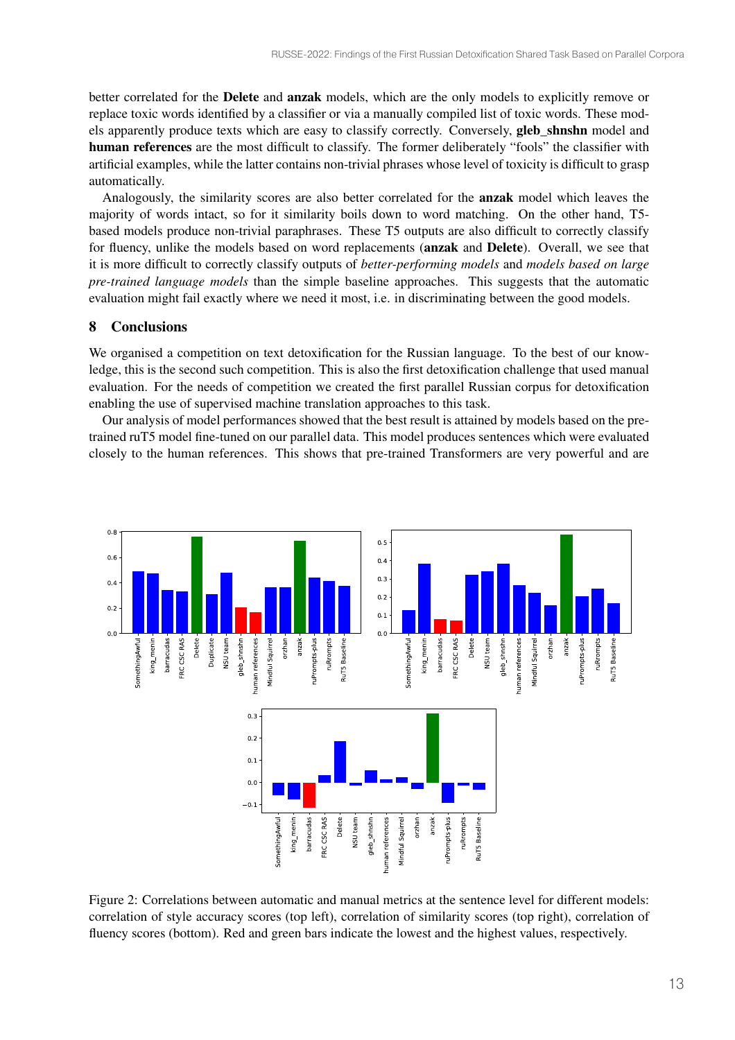better correlated for the **Delete** and **anzak** models, which are the only models to explicitly remove or replace toxic words identified by a classifier or via a manually compiled list of toxic words. These models apparently produce texts which are easy to classify correctly. Conversely, gleb\_shnshn model and human references are the most difficult to classify. The former deliberately "fools" the classifier with artificial examples, while the latter contains non-trivial phrases whose level of toxicity is difficult to grasp automatically.

Analogously, the similarity scores are also better correlated for the anzak model which leaves the majority of words intact, so for it similarity boils down to word matching. On the other hand, T5 based models produce non-trivial paraphrases. These T5 outputs are also difficult to correctly classify for fluency, unlike the models based on word replacements (anzak and Delete). Overall, we see that it is more difficult to correctly classify outputs of *better-performing models* and *models based on large pre-trained language models* than the simple baseline approaches. This suggests that the automatic evaluation might fail exactly where we need it most, i.e. in discriminating between the good models.

### 8 Conclusions

We organised a competition on text detoxification for the Russian language. To the best of our knowledge, this is the second such competition. This is also the first detoxification challenge that used manual evaluation. For the needs of competition we created the first parallel Russian corpus for detoxification enabling the use of supervised machine translation approaches to this task.

Our analysis of model performances showed that the best result is attained by models based on the pretrained ruT5 model fine-tuned on our parallel data. This model produces sentences which were evaluated closely to the human references. This shows that pre-trained Transformers are very powerful and are



Figure 2: Correlations between automatic and manual metrics at the sentence level for different models: correlation of style accuracy scores (top left), correlation of similarity scores (top right), correlation of fluency scores (bottom). Red and green bars indicate the lowest and the highest values, respectively.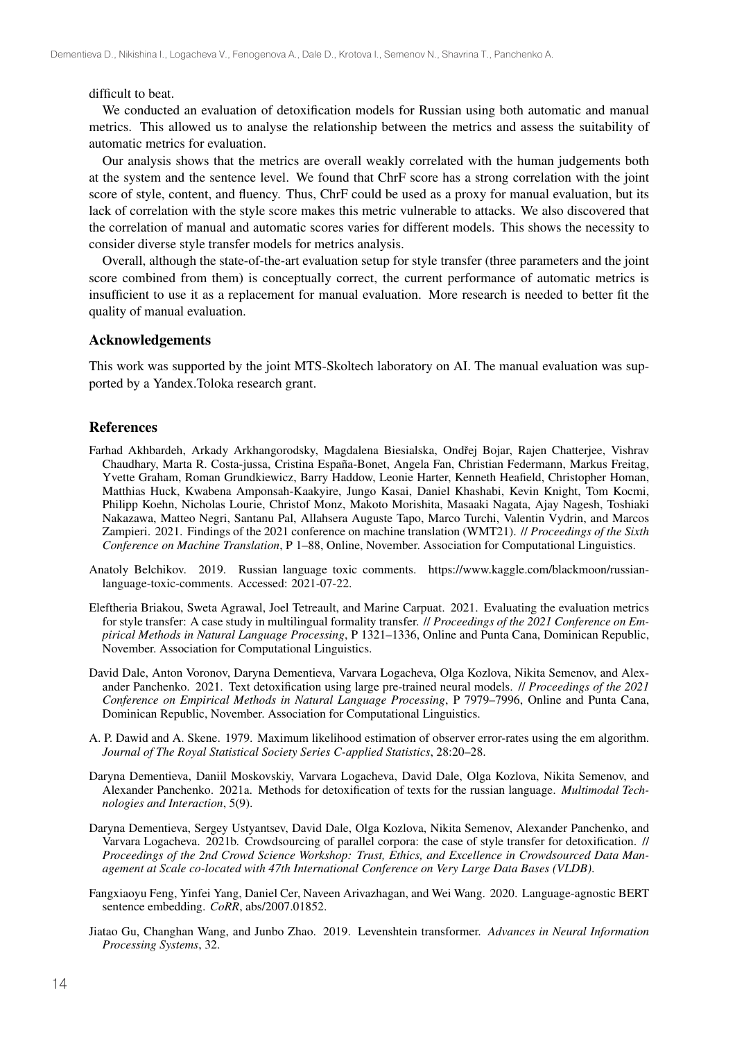difficult to beat.

We conducted an evaluation of detoxification models for Russian using both automatic and manual metrics. This allowed us to analyse the relationship between the metrics and assess the suitability of automatic metrics for evaluation.

Our analysis shows that the metrics are overall weakly correlated with the human judgements both at the system and the sentence level. We found that ChrF score has a strong correlation with the joint score of style, content, and fluency. Thus, ChrF could be used as a proxy for manual evaluation, but its lack of correlation with the style score makes this metric vulnerable to attacks. We also discovered that the correlation of manual and automatic scores varies for different models. This shows the necessity to consider diverse style transfer models for metrics analysis.

Overall, although the state-of-the-art evaluation setup for style transfer (three parameters and the joint score combined from them) is conceptually correct, the current performance of automatic metrics is insufficient to use it as a replacement for manual evaluation. More research is needed to better fit the quality of manual evaluation.

#### Acknowledgements

This work was supported by the joint MTS-Skoltech laboratory on AI. The manual evaluation was supported by a Yandex.Toloka research grant.

#### **References**

- Farhad Akhbardeh, Arkady Arkhangorodsky, Magdalena Biesialska, Ondřej Bojar, Rajen Chatterjee, Vishrav Chaudhary, Marta R. Costa-jussa, Cristina España-Bonet, Angela Fan, Christian Federmann, Markus Freitag, Yvette Graham, Roman Grundkiewicz, Barry Haddow, Leonie Harter, Kenneth Heafield, Christopher Homan, Matthias Huck, Kwabena Amponsah-Kaakyire, Jungo Kasai, Daniel Khashabi, Kevin Knight, Tom Kocmi, Philipp Koehn, Nicholas Lourie, Christof Monz, Makoto Morishita, Masaaki Nagata, Ajay Nagesh, Toshiaki Nakazawa, Matteo Negri, Santanu Pal, Allahsera Auguste Tapo, Marco Turchi, Valentin Vydrin, and Marcos Zampieri. 2021. Findings of the 2021 conference on machine translation (WMT21). // *Proceedings of the Sixth Conference on Machine Translation*, P 1–88, Online, November. Association for Computational Linguistics.
- Anatoly Belchikov. 2019. Russian language toxic comments. https://www.kaggle.com/blackmoon/russianlanguage-toxic-comments. Accessed: 2021-07-22.
- Eleftheria Briakou, Sweta Agrawal, Joel Tetreault, and Marine Carpuat. 2021. Evaluating the evaluation metrics for style transfer: A case study in multilingual formality transfer. // *Proceedings of the 2021 Conference on Empirical Methods in Natural Language Processing*, P 1321–1336, Online and Punta Cana, Dominican Republic, November. Association for Computational Linguistics.
- David Dale, Anton Voronov, Daryna Dementieva, Varvara Logacheva, Olga Kozlova, Nikita Semenov, and Alexander Panchenko. 2021. Text detoxification using large pre-trained neural models. // *Proceedings of the 2021 Conference on Empirical Methods in Natural Language Processing*, P 7979–7996, Online and Punta Cana, Dominican Republic, November. Association for Computational Linguistics.
- A. P. Dawid and A. Skene. 1979. Maximum likelihood estimation of observer error-rates using the em algorithm. *Journal of The Royal Statistical Society Series C-applied Statistics*, 28:20–28.
- Daryna Dementieva, Daniil Moskovskiy, Varvara Logacheva, David Dale, Olga Kozlova, Nikita Semenov, and Alexander Panchenko. 2021a. Methods for detoxification of texts for the russian language. *Multimodal Technologies and Interaction*, 5(9).
- Daryna Dementieva, Sergey Ustyantsev, David Dale, Olga Kozlova, Nikita Semenov, Alexander Panchenko, and Varvara Logacheva. 2021b. Crowdsourcing of parallel corpora: the case of style transfer for detoxification. // *Proceedings of the 2nd Crowd Science Workshop: Trust, Ethics, and Excellence in Crowdsourced Data Management at Scale co-located with 47th International Conference on Very Large Data Bases (VLDB)*.
- Fangxiaoyu Feng, Yinfei Yang, Daniel Cer, Naveen Arivazhagan, and Wei Wang. 2020. Language-agnostic BERT sentence embedding. *CoRR*, abs/2007.01852.
- Jiatao Gu, Changhan Wang, and Junbo Zhao. 2019. Levenshtein transformer. *Advances in Neural Information Processing Systems*, 32.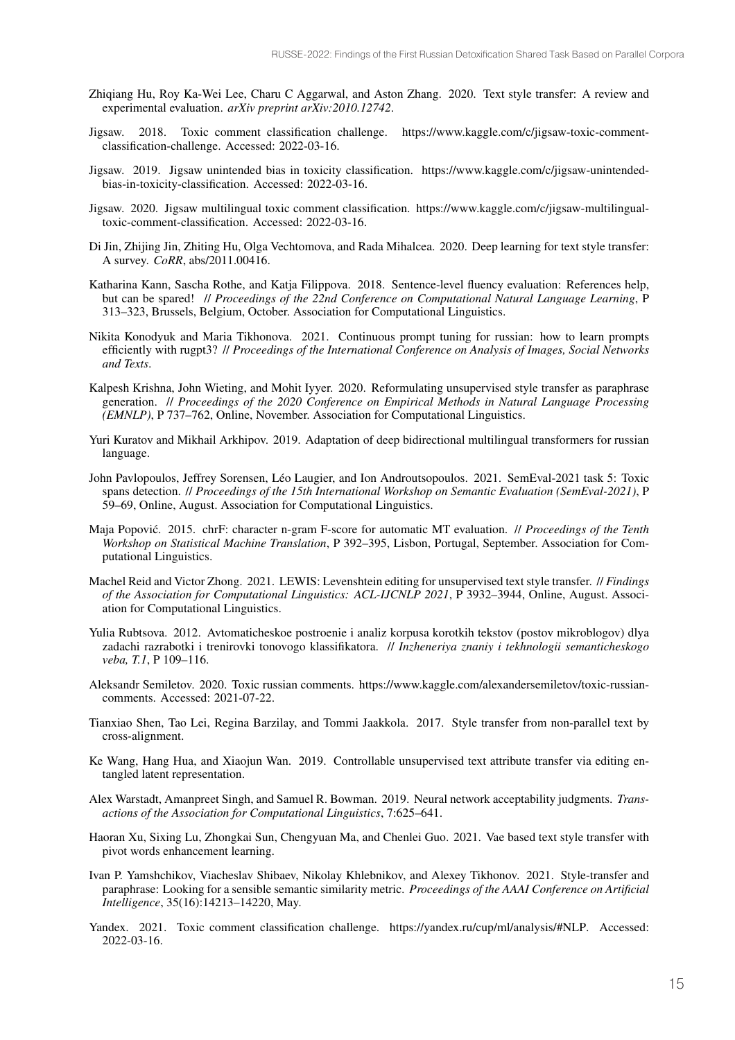- Zhiqiang Hu, Roy Ka-Wei Lee, Charu C Aggarwal, and Aston Zhang. 2020. Text style transfer: A review and experimental evaluation. *arXiv preprint arXiv:2010.12742*.
- Jigsaw. 2018. Toxic comment classification challenge. https://www.kaggle.com/c/jigsaw-toxic-commentclassification-challenge. Accessed: 2022-03-16.
- Jigsaw. 2019. Jigsaw unintended bias in toxicity classification. https://www.kaggle.com/c/jigsaw-unintendedbias-in-toxicity-classification. Accessed: 2022-03-16.
- Jigsaw. 2020. Jigsaw multilingual toxic comment classification. https://www.kaggle.com/c/jigsaw-multilingualtoxic-comment-classification. Accessed: 2022-03-16.
- Di Jin, Zhijing Jin, Zhiting Hu, Olga Vechtomova, and Rada Mihalcea. 2020. Deep learning for text style transfer: A survey. *CoRR*, abs/2011.00416.
- Katharina Kann, Sascha Rothe, and Katja Filippova. 2018. Sentence-level fluency evaluation: References help, but can be spared! // *Proceedings of the 22nd Conference on Computational Natural Language Learning*, P 313–323, Brussels, Belgium, October. Association for Computational Linguistics.
- Nikita Konodyuk and Maria Tikhonova. 2021. Continuous prompt tuning for russian: how to learn prompts efficiently with rugpt3? // *Proceedings of the International Conference on Analysis of Images, Social Networks and Texts*.
- Kalpesh Krishna, John Wieting, and Mohit Iyyer. 2020. Reformulating unsupervised style transfer as paraphrase generation. // *Proceedings of the 2020 Conference on Empirical Methods in Natural Language Processing (EMNLP)*, P 737–762, Online, November. Association for Computational Linguistics.
- Yuri Kuratov and Mikhail Arkhipov. 2019. Adaptation of deep bidirectional multilingual transformers for russian language.
- John Pavlopoulos, Jeffrey Sorensen, Léo Laugier, and Ion Androutsopoulos. 2021. SemEval-2021 task 5: Toxic spans detection. // *Proceedings of the 15th International Workshop on Semantic Evaluation (SemEval-2021)*, P 59–69, Online, August. Association for Computational Linguistics.
- Maja Popović. 2015. chrF: character n-gram F-score for automatic MT evaluation. *// Proceedings of the Tenth Workshop on Statistical Machine Translation*, P 392–395, Lisbon, Portugal, September. Association for Computational Linguistics.
- Machel Reid and Victor Zhong. 2021. LEWIS: Levenshtein editing for unsupervised text style transfer. // *Findings of the Association for Computational Linguistics: ACL-IJCNLP 2021*, P 3932–3944, Online, August. Association for Computational Linguistics.
- Yulia Rubtsova. 2012. Avtomaticheskoe postroenie i analiz korpusa korotkih tekstov (postov mikroblogov) dlya zadachi razrabotki i trenirovki tonovogo klassifikatora. // *Inzheneriya znaniy i tekhnologii semanticheskogo veba, T.1*, P 109–116.
- Aleksandr Semiletov. 2020. Toxic russian comments. https://www.kaggle.com/alexandersemiletov/toxic-russiancomments. Accessed: 2021-07-22.
- Tianxiao Shen, Tao Lei, Regina Barzilay, and Tommi Jaakkola. 2017. Style transfer from non-parallel text by cross-alignment.
- Ke Wang, Hang Hua, and Xiaojun Wan. 2019. Controllable unsupervised text attribute transfer via editing entangled latent representation.
- Alex Warstadt, Amanpreet Singh, and Samuel R. Bowman. 2019. Neural network acceptability judgments. *Transactions of the Association for Computational Linguistics*, 7:625–641.
- Haoran Xu, Sixing Lu, Zhongkai Sun, Chengyuan Ma, and Chenlei Guo. 2021. Vae based text style transfer with pivot words enhancement learning.
- Ivan P. Yamshchikov, Viacheslav Shibaev, Nikolay Khlebnikov, and Alexey Tikhonov. 2021. Style-transfer and paraphrase: Looking for a sensible semantic similarity metric. *Proceedings of the AAAI Conference on Artificial Intelligence*, 35(16):14213–14220, May.
- Yandex. 2021. Toxic comment classification challenge. https://yandex.ru/cup/ml/analysis/#NLP. Accessed: 2022-03-16.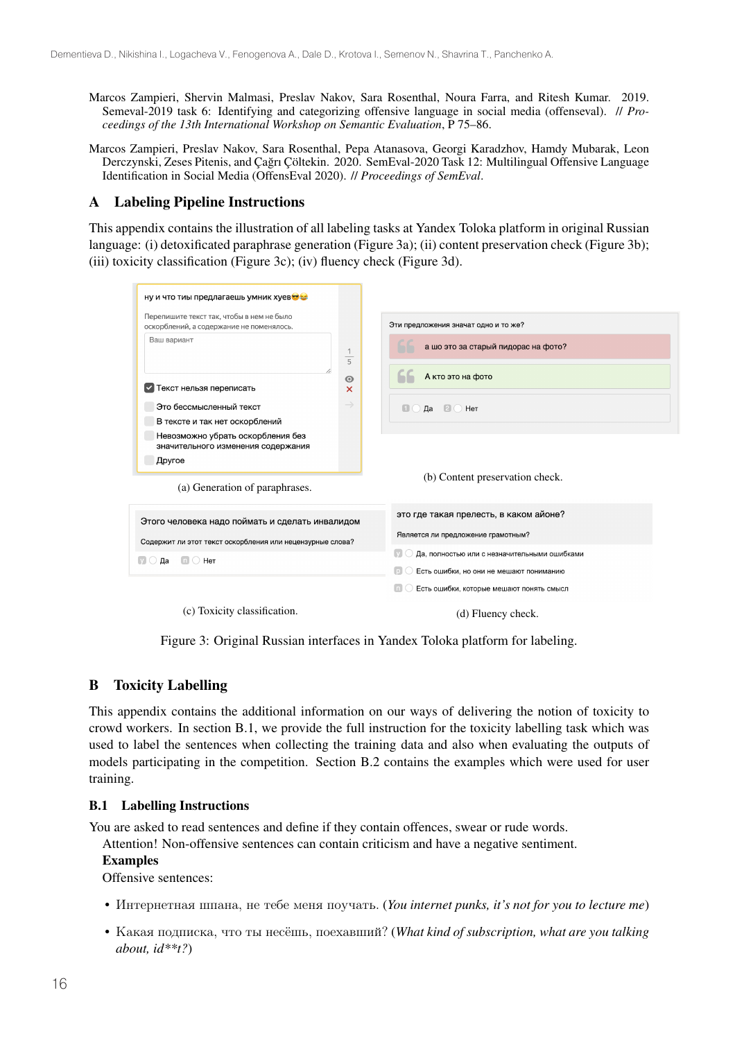- Marcos Zampieri, Shervin Malmasi, Preslav Nakov, Sara Rosenthal, Noura Farra, and Ritesh Kumar. 2019. Semeval-2019 task 6: Identifying and categorizing offensive language in social media (offenseval). // *Proceedings of the 13th International Workshop on Semantic Evaluation*, P 75–86.
- Marcos Zampieri, Preslav Nakov, Sara Rosenthal, Pepa Atanasova, Georgi Karadzhov, Hamdy Mubarak, Leon Derczynski, Zeses Pitenis, and Çagrı Çöltekin. 2020. SemEval-2020 Task 12: Multilingual Offensive Language ˘ Identification in Social Media (OffensEval 2020). // *Proceedings of SemEval*.

#### A Labeling Pipeline Instructions

This appendix contains the illustration of all labeling tasks at Yandex Toloka platform in original Russian language: (i) detoxificated paraphrase generation (Figure 3a); (ii) content preservation check (Figure 3b); (iii) toxicity classification (Figure 3c); (iv) fluency check (Figure 3d).

| ну и что тиы предлагаешь умник хуев о                                                 |                                                                                                 |
|---------------------------------------------------------------------------------------|-------------------------------------------------------------------------------------------------|
| Перепишите текст так, чтобы в нем не было<br>оскорблений, а содержание не поменялось. | Эти предложения значат одно и то же?                                                            |
| Ваш вариант<br>1<br>$\overline{5}$                                                    | а шо это за старый пидорас на фото?                                                             |
| $\odot$<br>Текст нельзя переписать<br>$\boldsymbol{\mathsf{x}}$                       | А кто это на фото                                                                               |
| $\rightarrow$<br>Это бессмысленный текст<br>В тексте и так нет оскорблений            | $\Box$ Да 2 () Нет                                                                              |
| Невозможно убрать оскорбления без<br>значительного изменения содержания<br>Другое     |                                                                                                 |
| (a) Generation of paraphrases.                                                        | (b) Content preservation check.                                                                 |
| Этого человека надо поймать и сделать инвалидом                                       | это где такая прелесть, в каком айоне?                                                          |
| Содержит ли этот текст оскорбления или нецензурные слова?                             | Является ли предложение грамотным?                                                              |
| $\Box$ $\Box$ Het<br>$\mathbb{V}$ $\bigcirc$ $\mathbb{A}$ a                           | <b>Да</b> , полностью или с незначительными ошибками<br>Есть ошибки, но они не мешают пониманию |
|                                                                                       | Есть ошибки, которые мешают понять смысл                                                        |
| (c) Toxicity classification.                                                          | (d) Fluency check.                                                                              |

Figure 3: Original Russian interfaces in Yandex Toloka platform for labeling.

#### B Toxicity Labelling

This appendix contains the additional information on our ways of delivering the notion of toxicity to crowd workers. In section B.1, we provide the full instruction for the toxicity labelling task which was used to label the sentences when collecting the training data and also when evaluating the outputs of models participating in the competition. Section B.2 contains the examples which were used for user training.

#### B.1 Labelling Instructions

You are asked to read sentences and define if they contain offences, swear or rude words.

Attention! Non-offensive sentences can contain criticism and have a negative sentiment.

### Examples

Offensive sentences:

- Интернетная шпана, не тебе меня поучать. (*You internet punks, it's not for you to lecture me*)
- Какая подписка, что ты несёшь, поехавший? (*What kind of subscription, what are you talking about, id\*\*t?*)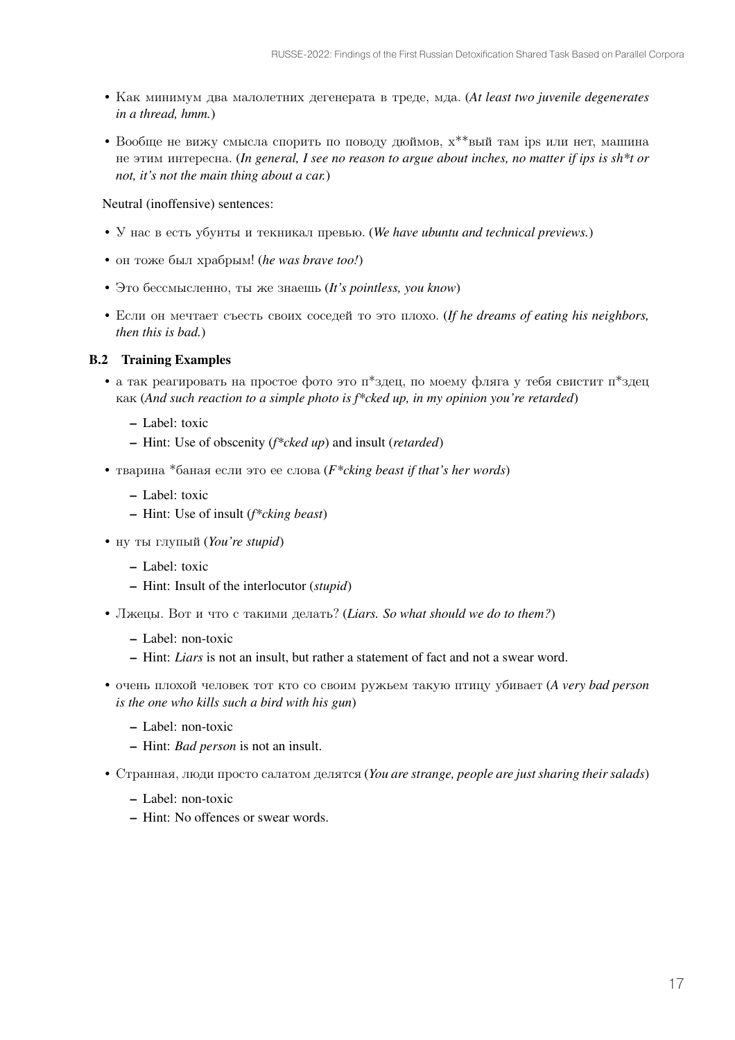- Как минимум два малолетних дегенерата в треде, мда. (*At least two juvenile degenerates in a thread, hmm.*)
- Вообще не вижу смысла спорить по поводу дюймов,  $x^{**}$ вый там ips или нет, машина не этим интересна. (*In general, I see no reason to argue about inches, no matter if ips is sh\*t or not, it's not the main thing about a car.*)

#### Neutral (inoffensive) sentences:

- У нас в есть убунты и текникал превью. (*We have ubuntu and technical previews.*)
- он тоже был храбрым! (*he was brave too!*)
- Это бессмысленно, ты же знаешь (*It's pointless, you know*)
- Если он мечтает съесть своих соседей то это плохо. (*If he dreams of eating his neighbors, then this is bad.*)

#### B.2 Training Examples

- а так реагировать на простое фото это п<sup>\*</sup>здец, по моему фляга у тебя свистит п<sup>\*</sup>здец как (*And such reaction to a simple photo is f\*cked up, in my opinion you're retarded*)
	- Label: toxic
	- Hint: Use of obscenity (*f\*cked up*) and insult (*retarded*)
- тварина \*баная если это ее слова (*F\*cking beast if that's her words*)
	- Label: toxic
	- Hint: Use of insult (*f\*cking beast*)
- ну ты глупый (*You're stupid*)
	- Label: toxic
	- Hint: Insult of the interlocutor (*stupid*)
- Лжецы. Вот и что с такими делать? (*Liars. So what should we do to them?*)
	- Label: non-toxic
	- Hint: *Liars* is not an insult, but rather a statement of fact and not a swear word.
- очень плохой человек тот кто со своим ружьем такую птицу убивает (*A very bad person is the one who kills such a bird with his gun*)
	- Label: non-toxic
	- Hint: *Bad person* is not an insult.
- Странная, люди просто салатом делятся (*You are strange, people are just sharing their salads*)
	- Label: non-toxic
	- Hint: No offences or swear words.